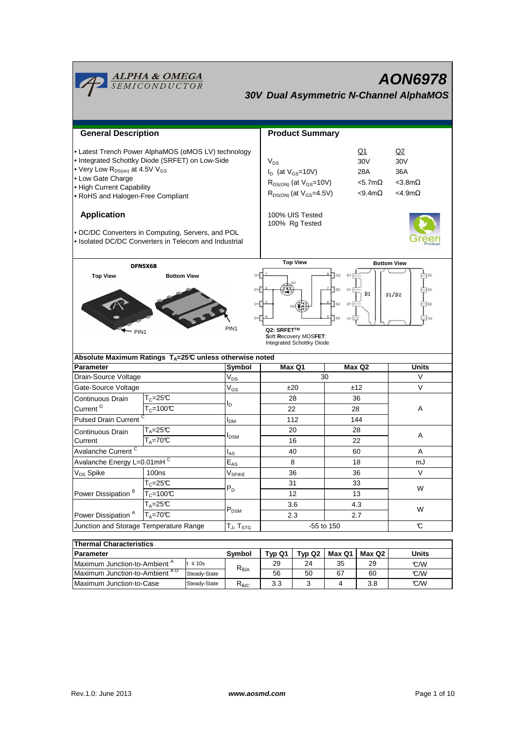| <u><b>ALPHA &amp; OMEGA</b><br/>SEMICONDUCTOR</u><br>AON6978<br><b>30V Dual Asymmetric N-Channel AlphaMOS</b>                                                                                                                                                                                                                                |                                                                           |                                                  |                                                                                                                                                                           |                        |            |                                                            |              |  |
|----------------------------------------------------------------------------------------------------------------------------------------------------------------------------------------------------------------------------------------------------------------------------------------------------------------------------------------------|---------------------------------------------------------------------------|--------------------------------------------------|---------------------------------------------------------------------------------------------------------------------------------------------------------------------------|------------------------|------------|------------------------------------------------------------|--------------|--|
|                                                                                                                                                                                                                                                                                                                                              |                                                                           |                                                  |                                                                                                                                                                           |                        |            |                                                            |              |  |
| <b>General Description</b>                                                                                                                                                                                                                                                                                                                   |                                                                           |                                                  |                                                                                                                                                                           | <b>Product Summary</b> |            |                                                            |              |  |
| • Latest Trench Power AlphaMOS (aMOS LV) technology<br>• Integrated Schottky Diode (SRFET) on Low-Side<br>• Very Low $R_{DS(on)}$ at 4.5V V <sub>GS</sub><br>• Low Gate Charge<br>• High Current Capability<br>• RoHS and Halogen-Free Compliant                                                                                             |                                                                           |                                                  | Q1<br>$V_{DS}$<br>30V<br>$I_D$ (at $V_{GS}$ =10V)<br>28A<br>$R_{DS(ON)}$ (at $V_{GS}$ =10V)<br>$<$ 5.7m $\Omega$<br>$R_{DS(ON)}$ (at $V_{GS} = 4.5V$ )<br>$< 9.4 m\Omega$ |                        |            | Q2<br>30V<br>36A<br>$<$ 3.8m $\Omega$<br>$<$ 4.9m $\Omega$ |              |  |
| <b>Application</b><br>. DC/DC Converters in Computing, Servers, and POL<br>• Isolated DC/DC Converters in Telecom and Industrial                                                                                                                                                                                                             |                                                                           |                                                  | 100% UIS Tested<br>100% Rg Tested                                                                                                                                         |                        |            |                                                            |              |  |
| <b>Top View</b><br><b>Bottom View</b><br>DFN5X6B<br>$\sqrt{G2}$<br>D1<br>G1<br><b>Top View</b><br><b>Bottom View</b><br>$\sqrt{S2}$<br>D1<br>D1<br>D1<br>S1/D2<br>D1<br>$\sqrt{S2}$<br>D1<br>S <sub>2</sub><br>D1<br>$\sqrt{S2}$<br>PIN <sub>1</sub><br>Q2: SRFET™<br>PIN <sub>1</sub><br>Soft Recovery MOSFET:<br>Integrated Schottky Diode |                                                                           |                                                  |                                                                                                                                                                           |                        |            |                                                            |              |  |
|                                                                                                                                                                                                                                                                                                                                              | Absolute Maximum Ratings $T_A = 25^\circ \text{C}$ unless otherwise noted |                                                  |                                                                                                                                                                           |                        |            |                                                            |              |  |
| <b>Parameter</b>                                                                                                                                                                                                                                                                                                                             |                                                                           | Symbol                                           |                                                                                                                                                                           | Max Q1<br>Max Q2<br>30 |            |                                                            | Units<br>V   |  |
| Drain-Source Voltage<br>Gate-Source Voltage                                                                                                                                                                                                                                                                                                  |                                                                           | $V_{DS}$                                         | ±20                                                                                                                                                                       |                        | ±12        |                                                            | V            |  |
|                                                                                                                                                                                                                                                                                                                                              | $T_c = 25C$                                                               | $V_{GS}$                                         | 28                                                                                                                                                                        |                        | 36         |                                                            |              |  |
| Continuous Drain<br>Current <sup>G</sup>                                                                                                                                                                                                                                                                                                     | $T_c = 100C$                                                              | l <sub>D</sub>                                   |                                                                                                                                                                           |                        | 28         |                                                            | A            |  |
|                                                                                                                                                                                                                                                                                                                                              |                                                                           | $I_{DM}$                                         |                                                                                                                                                                           | 22                     |            |                                                            |              |  |
|                                                                                                                                                                                                                                                                                                                                              | <b>Pulsed Drain Current</b>                                               |                                                  | 112<br>20                                                                                                                                                                 |                        | 144<br>28  |                                                            |              |  |
| Continuous Drain<br>Current                                                                                                                                                                                                                                                                                                                  | $T_A = 25C$<br>$T_A = 70$ <sup>C</sup>                                    | <b>I</b> <sub>DSM</sub>                          |                                                                                                                                                                           | 16                     |            | 22                                                         | A            |  |
| Avalanche Current <sup>C</sup>                                                                                                                                                                                                                                                                                                               |                                                                           |                                                  |                                                                                                                                                                           |                        |            |                                                            |              |  |
| Avalanche Energy L=0.01mHC                                                                                                                                                                                                                                                                                                                   |                                                                           | $I_{AS}$                                         | 40                                                                                                                                                                        |                        | 60         |                                                            | A<br>mJ      |  |
| V <sub>DS</sub> Spike                                                                                                                                                                                                                                                                                                                        | 100ns                                                                     | $\mathsf{E}_{\mathsf{AS}}$<br>V <sub>SPIKE</sub> | 8<br>36                                                                                                                                                                   |                        | 18<br>36   |                                                            | $\vee$       |  |
|                                                                                                                                                                                                                                                                                                                                              | $T_c = 25\overline{C}$                                                    |                                                  |                                                                                                                                                                           | 31                     |            |                                                            |              |  |
| Power Dissipation <sup>B</sup>                                                                                                                                                                                                                                                                                                               | $T_c = 100C$                                                              | $P_D$                                            | 12                                                                                                                                                                        |                        | 33<br>13   |                                                            | W            |  |
|                                                                                                                                                                                                                                                                                                                                              | $T_A = 25C$                                                               |                                                  | 3.6<br>2.3                                                                                                                                                                |                        | 4.3        |                                                            |              |  |
| Power Dissipation <sup>A</sup>                                                                                                                                                                                                                                                                                                               | $T_A = 70^\circ C$                                                        | $\mathsf{P}_\mathsf{DSM}$                        |                                                                                                                                                                           |                        | 2.7        |                                                            | W            |  |
| Junction and Storage Temperature Range                                                                                                                                                                                                                                                                                                       |                                                                           | T $_{\sf J}$ , T $_{\sf STG}$                    |                                                                                                                                                                           |                        | -55 to 150 |                                                            | C            |  |
|                                                                                                                                                                                                                                                                                                                                              |                                                                           |                                                  |                                                                                                                                                                           |                        |            |                                                            |              |  |
| <b>Thermal Characteristics</b>                                                                                                                                                                                                                                                                                                               |                                                                           |                                                  |                                                                                                                                                                           |                        |            |                                                            |              |  |
| <b>Parameter</b>                                                                                                                                                                                                                                                                                                                             |                                                                           | Symbol                                           | Typ Q1                                                                                                                                                                    | Typ Q2                 | Max Q1     | Max Q2                                                     | <b>Units</b> |  |

| Thermal Unaracteristics                  |              |                                         |        |        |        |        |       |
|------------------------------------------|--------------|-----------------------------------------|--------|--------|--------|--------|-------|
| <b>IParameter</b>                        |              | Svmbol                                  | Typ Q1 | Tvp Q2 | Max Q1 | Max Q2 | Units |
| Maximum Junction-to-Ambient <sup>"</sup> | $\leq 10s$   | $\mathsf{R}_{\theta\mathsf{JA}}$        | 29     | 24     | 35     | 29     | C/M   |
| Maximum Junction-to-Ambient AD           | Steady-State |                                         | 56     | 50     | 67     | 60     | C/W   |
| Maximum Junction-to-Case                 | Steady-State | $\mathsf{R}_{\mathsf{\theta\text{JC}}}$ | 3.3    |        |        | 3.8    | C/W   |

Ē

÷,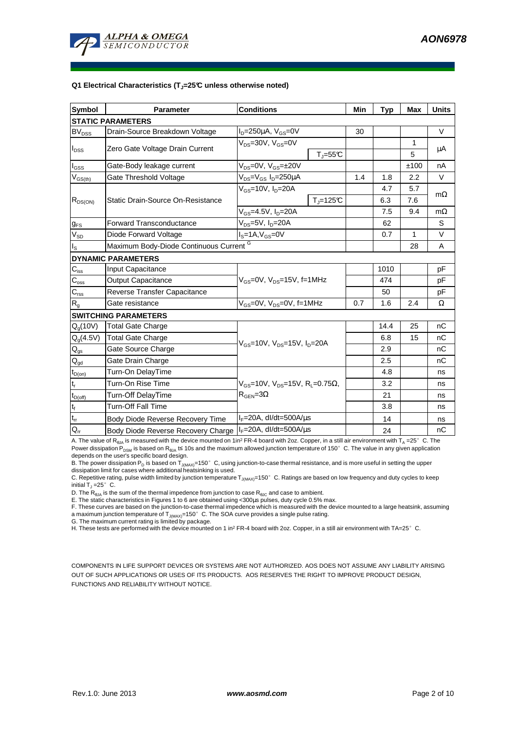

#### **Q1 Electrical Characteristics (TJ=25°C unless otherwise noted)**

| <b>Symbol</b>                          | <b>Parameter</b>                                   | <b>Conditions</b>                                                                  |                         | Min | <b>Typ</b> | <b>Max</b> | <b>Units</b> |  |
|----------------------------------------|----------------------------------------------------|------------------------------------------------------------------------------------|-------------------------|-----|------------|------------|--------------|--|
| <b>STATIC PARAMETERS</b>               |                                                    |                                                                                    |                         |     |            |            |              |  |
| <b>BV</b> <sub>DSS</sub>               | Drain-Source Breakdown Voltage                     | $I_D = 250 \mu A$ , $V_{GS} = 0V$                                                  |                         | 30  |            |            | $\vee$       |  |
| $I_{DSS}$                              | Zero Gate Voltage Drain Current                    | $V_{DS}$ =30V, $V_{GS}$ =0V                                                        | $T_{\parallel} = 55$ °C |     |            | 1<br>5     | μA           |  |
| $I_{GSS}$                              | Gate-Body leakage current                          | $V_{DS} = 0V$ , $V_{GS} = \pm 20V$                                                 |                         |     |            | ±100       | nA           |  |
| $V_{GS(th)}$                           | Gate Threshold Voltage                             | $V_{DS} = V_{GS} I_D = 250 \mu A$                                                  |                         | 1.4 | 1.8        | 2.2        | V            |  |
|                                        |                                                    | $V_{GS}$ =10V, $I_{D}$ =20A                                                        |                         |     | 4.7        | 5.7        |              |  |
| $R_{DS(ON)}$                           | Static Drain-Source On-Resistance                  |                                                                                    | $T_{\parallel}$ =125°C  |     | 6.3        | 7.6        | $m\Omega$    |  |
|                                        |                                                    | $V_{GS}$ =4.5V, $I_D$ =20A                                                         |                         |     | 7.5        | 9.4        | $m\Omega$    |  |
| $g_{FS}$                               | <b>Forward Transconductance</b>                    | V <sub>DS</sub> =5V, I <sub>D</sub> =20A                                           |                         | 62  |            | S          |              |  |
| $V_{SD}$                               | Diode Forward Voltage                              | $IS=1A, VGS=0V$                                                                    |                         | 0.7 | 1          | $\vee$     |              |  |
| ıs.                                    | Maximum Body-Diode Continuous Current <sup>G</sup> |                                                                                    |                         |     |            | 28         | A            |  |
|                                        | <b>DYNAMIC PARAMETERS</b>                          |                                                                                    |                         |     |            |            |              |  |
| $\mathbf{C}_{\mathsf{iss}}$            | Input Capacitance                                  |                                                                                    |                         |     | 1010       |            | pF           |  |
| $C_{\rm oss}$                          | Output Capacitance                                 | $V_{GS}$ =0V, $V_{DS}$ =15V, f=1MHz                                                |                         |     | 474        |            | рF           |  |
| $C_{\text{rss}}$                       | Reverse Transfer Capacitance                       |                                                                                    |                         | 50  |            | pF         |              |  |
| $R_{g}$                                | Gate resistance                                    | $V_{GS}$ =0V, $V_{DS}$ =0V, f=1MHz                                                 | 0.7                     | 1.6 | 2.4        | Ω          |              |  |
|                                        | <b>SWITCHING PARAMETERS</b>                        |                                                                                    |                         |     |            |            |              |  |
| $Q_g(10V)$                             | Total Gate Charge                                  |                                                                                    |                         |     | 14.4       | 25         | nC           |  |
| $Q_g(4.5V)$                            | Total Gate Charge                                  | $V_{GS}$ =10V, $V_{DS}$ =15V, $I_{D}$ =20A                                         |                         |     | 6.8        | 15         | nC           |  |
| $\mathsf{Q}_{\mathsf{gs}}$             | Gate Source Charge                                 |                                                                                    |                         |     | 2.9        |            | nC           |  |
| $\mathsf{Q}_{\underline{\mathsf{gd}}}$ | Gate Drain Charge                                  |                                                                                    |                         |     | 2.5        |            | nC           |  |
| $t_{D(on)}$                            | Turn-On DelayTime                                  |                                                                                    |                         |     | 4.8        |            | ns           |  |
| t,                                     | Turn-On Rise Time                                  | $V_{GS}$ =10V, $V_{DS}$ =15V, R <sub>i</sub> =0.75Ω,<br>$R_{\text{GEN}} = 3\Omega$ |                         |     | 3.2        |            | ns           |  |
| $t_{D(Off)}$                           | Turn-Off DelayTime                                 |                                                                                    |                         |     | 21         |            | ns           |  |
| $t_f$                                  | <b>Turn-Off Fall Time</b>                          |                                                                                    |                         |     | 3.8        |            | ns           |  |
| $t_{rr}$                               | Body Diode Reverse Recovery Time                   | $I_F = 20A$ , dl/dt=500A/ $\mu$ s                                                  |                         |     | 14         |            | ns           |  |
| $Q_{rr}$                               | Body Diode Reverse Recovery Charge                 | $I_F = 20A$ , dl/dt=500A/us                                                        |                         |     | 24         |            | nC           |  |

A. The value of R<sub>θJA</sub> is measured with the device mounted on 1in<sup>2</sup> FR-4 board with 2oz. Copper, in a still air environment with T<sub>A</sub> =25°C. The Power dissipation P<sub>DSM</sub> is based on R<sub>BJA</sub> t≤ 10s and the maximum allowed junction temperature of 150°C. The value in any given application depends on the user's specific board design.

B. The power dissipation P<sub>D</sub> is based on T<sub>J(MAX)</sub>=150°C, using junction-to-case thermal resistance, and is more useful in setting the upper<br>dissipation limit for cases where additional heatsinking is used.

C. Repetitive rating, pulse width limited by junction temperature T<sub>J(MAX)</sub>=150°C. Ratings are based on low frequency and duty cycles to keep initial  $T_J = 25^\circ$  C.

D. The  $R_{h1A}$  is the sum of the thermal impedence from junction to case  $R_{h1C}$  and case to ambient.

E. The static characteristics in Figures 1 to 6 are obtained using <300µs pulses, duty cycle 0.5% max.

F. These curves are based on the junction-to-case thermal impedence which is measured with the device mounted to a large heatsink, assuming a maximum junction temperature of  $T_{J(MAX)}=150^\circ$  C. The SOA curve provides a single pulse rating.

G. The maximum current rating is limited by package.

H. These tests are performed with the device mounted on 1 in<sup>2</sup> FR-4 board with 2oz. Copper, in a still air environment with TA=25°C.

COMPONENTS IN LIFE SUPPORT DEVICES OR SYSTEMS ARE NOT AUTHORIZED. AOS DOES NOT ASSUME ANY LIABILITY ARISING OUT OF SUCH APPLICATIONS OR USES OF ITS PRODUCTS. AOS RESERVES THE RIGHT TO IMPROVE PRODUCT DESIGN, FUNCTIONS AND RELIABILITY WITHOUT NOTICE.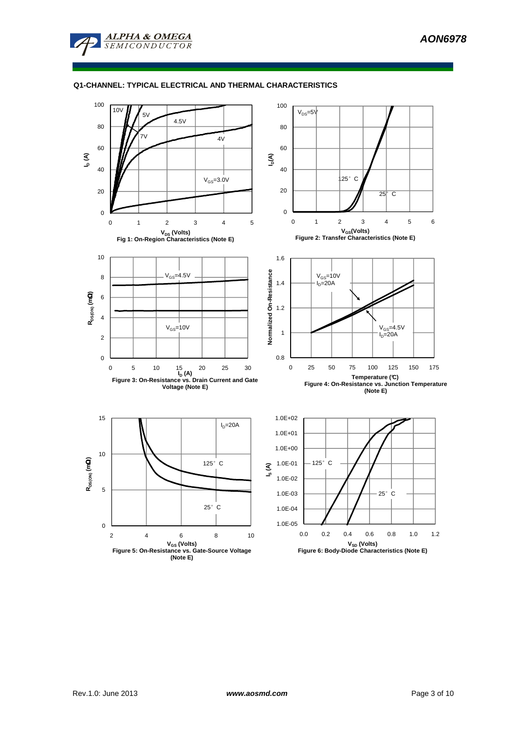

### **Q1-CHANNEL: TYPICAL ELECTRICAL AND THERMAL CHARACTERISTICS**

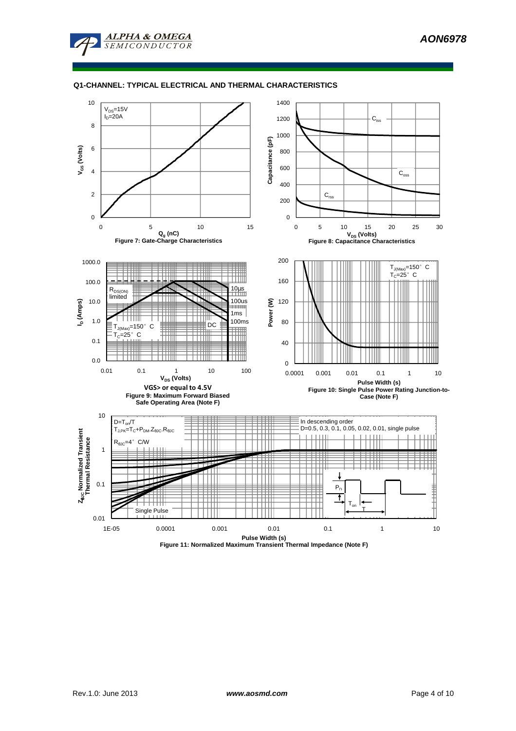**AON6978**



### **Q1-CHANNEL: TYPICAL ELECTRICAL AND THERMAL CHARACTERISTICS**



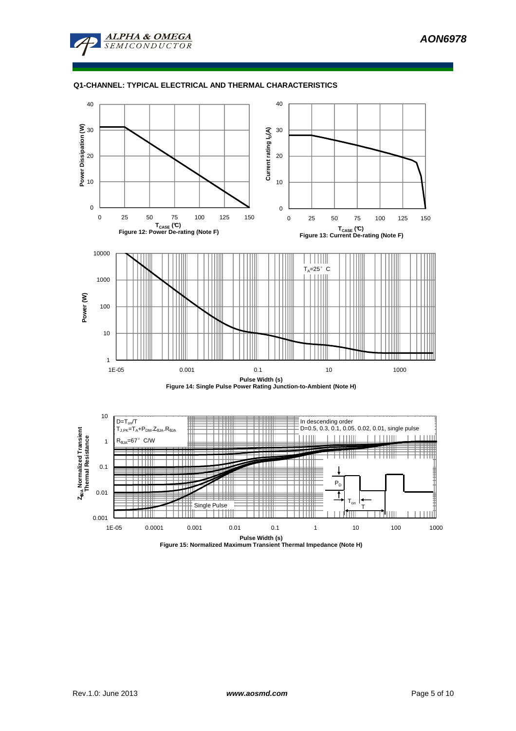

### **Q1-CHANNEL: TYPICAL ELECTRICAL AND THERMAL CHARACTERISTICS**

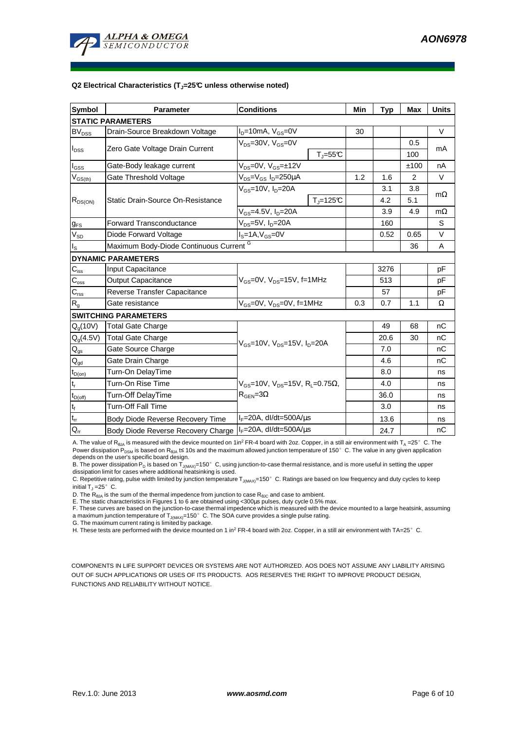

#### **Q2 Electrical Characteristics (TJ=25°C unless otherwise noted)**

| <b>Symbol</b>                          | <b>Parameter</b>                        | <b>Conditions</b>                                                                                  | Min                     | <b>Typ</b> | <b>Max</b> | <b>Units</b> |           |  |
|----------------------------------------|-----------------------------------------|----------------------------------------------------------------------------------------------------|-------------------------|------------|------------|--------------|-----------|--|
| <b>STATIC PARAMETERS</b>               |                                         |                                                                                                    |                         |            |            |              |           |  |
| <b>BV<sub>DSS</sub></b>                | Drain-Source Breakdown Voltage          | $I_D = 10mA$ , $V_{GS} = 0V$                                                                       |                         | 30         |            |              | V         |  |
|                                        | Zero Gate Voltage Drain Current         | $V_{DS}$ =30V, $V_{GS}$ =0V                                                                        |                         |            |            | 0.5          | mA        |  |
| $I_{DSS}$                              |                                         |                                                                                                    | $T_{\parallel} = 55$ °C |            |            | 100          |           |  |
| $I_{GSS}$                              | Gate-Body leakage current               | $V_{DS} = 0V$ , $V_{GS} = \pm 12V$                                                                 |                         |            |            | ±100         | nA        |  |
| $V_{GS(th)}$                           | Gate Threshold Voltage                  | $V_{DS} = V_{GS} I_D = 250 \mu A$                                                                  |                         | 1.2        | 1.6        | 2            | V         |  |
|                                        |                                         | $V_{GS}$ =10V, $I_D$ =20A                                                                          |                         |            | 3.1        | 3.8          | $m\Omega$ |  |
| $R_{DS(ON)}$                           | Static Drain-Source On-Resistance       |                                                                                                    | $T_i = 125C$            |            | 4.2        | 5.1          |           |  |
|                                        |                                         | $V_{GS} = 4.5V$ , $I_D = 20A$                                                                      |                         | 3.9        | 4.9        | $m\Omega$    |           |  |
| <b>g</b> <sub>FS</sub>                 | <b>Forward Transconductance</b>         | $V_{DS}=5V$ , $I_D=20A$                                                                            |                         | 160        |            | S            |           |  |
| $V_{SD}$                               | Diode Forward Voltage                   | $I_S = 1A$ , $V_{GS} = 0V$                                                                         |                         | 0.52       | 0.65       | $\vee$       |           |  |
| $I_{\rm S}$                            | Maximum Body-Diode Continuous Current G |                                                                                                    |                         |            |            | 36           | A         |  |
|                                        | <b>DYNAMIC PARAMETERS</b>               |                                                                                                    |                         |            |            |              |           |  |
| $C_{\text{iss}}$                       | Input Capacitance                       |                                                                                                    |                         |            | 3276       |              | pF        |  |
| $C_{\rm oss}$                          | <b>Output Capacitance</b>               | $V_{GS}$ =0V, $V_{DS}$ =15V, f=1MHz                                                                |                         |            | 513        |              | pF        |  |
| $C_{\text{rss}}$                       | Reverse Transfer Capacitance            |                                                                                                    |                         | 57         |            | pF           |           |  |
| $R_{q}$                                | Gate resistance                         | $V_{GS}$ =0V, $V_{DS}$ =0V, f=1MHz                                                                 | 0.3                     | 0.7        | 1.1        | Ω            |           |  |
|                                        | <b>SWITCHING PARAMETERS</b>             |                                                                                                    |                         |            |            |              |           |  |
| $Q_q(10V)$                             | <b>Total Gate Charge</b>                | $V_{GS}$ =10V, $V_{DS}$ =15V, $I_D$ =20A                                                           |                         |            | 49         | 68           | nC        |  |
| $Q_q(4.5V)$                            | <b>Total Gate Charge</b>                |                                                                                                    |                         |            | 20.6       | 30           | nC        |  |
| $Q_{gs}$                               | Gate Source Charge                      |                                                                                                    |                         |            | 7.0        |              | nC        |  |
| $\mathsf{Q}_{\underline{\mathsf{gd}}}$ | Gate Drain Charge                       |                                                                                                    |                         |            | 4.6        |              | nC        |  |
| $t_{D(0n)}$                            | Turn-On DelayTime                       |                                                                                                    |                         |            | 8.0        |              | ns        |  |
| $\mathfrak{t}_{\mathsf{r}}$            | Turn-On Rise Time                       | $V_{\text{GS}} = 10V$ , $V_{\text{DS}} = 15V$ , $R_1 = 0.75\Omega$ ,<br>$R_{\text{GEN}} = 3\Omega$ |                         |            | 4.0        |              | ns        |  |
| $t_{D(off)}$                           | Turn-Off DelayTime                      |                                                                                                    |                         |            | 36.0       |              | ns        |  |
| $t_f$                                  | Turn-Off Fall Time                      |                                                                                                    |                         |            | 3.0        |              | ns        |  |
| $t_{rr}$                               | Body Diode Reverse Recovery Time        | $I_F = 20A$ , dl/dt=500A/ $\mu$ s                                                                  |                         |            | 13.6       |              | ns        |  |
| $\mathsf{Q}_{\mathsf{rr}}$             | Body Diode Reverse Recovery Charge      | $I_F = 20A$ , dl/dt=500A/us                                                                        |                         |            | 24.7       |              | nC        |  |

A. The value of R<sub>θJA</sub> is measured with the device mounted on 1in<sup>2</sup> FR-4 board with 2oz. Copper, in a still air environment with T<sub>A</sub> =25° C. The Power dissipation  $P_{DSM}$  is based on R<sub>θJA</sub> t≤ 10s and the maximum allowed junction temperature of 150°C. The value in any given application depends on the user's specific board design.

B. The power dissipation P<sub>D</sub> is based on T<sub>J(MAX)</sub>=150°C, using junction-to-case thermal resistance, and is more useful in setting the upper dissipation limit for cases where additional heatsinking is used.

C. Repetitive rating, pulse width limited by junction temperature  $T_{J(MAX)}$ =150°C. Ratings are based on low frequency and duty cycles to keep initial  $T_J = 25^\circ$  C.

D. The  $R_{AJA}$  is the sum of the thermal impedence from junction to case  $R_{AJC}$  and case to ambient.

E. The static characteristics in Figures 1 to 6 are obtained using <300µs pulses, duty cycle 0.5% max.

F. These curves are based on the junction-to-case thermal impedence which is measured with the device mounted to a large heatsink, assuming a maximum junction temperature of  $T_{J(MAX)}$ =150° C. The SOA curve provides a single pulse rating.

G. The maximum current rating is limited by package.

H. These tests are performed with the device mounted on 1 in<sup>2</sup> FR-4 board with 2oz. Copper, in a still air environment with TA=25°C.

COMPONENTS IN LIFE SUPPORT DEVICES OR SYSTEMS ARE NOT AUTHORIZED. AOS DOES NOT ASSUME ANY LIABILITY ARISING OUT OF SUCH APPLICATIONS OR USES OF ITS PRODUCTS. AOS RESERVES THE RIGHT TO IMPROVE PRODUCT DESIGN, FUNCTIONS AND RELIABILITY WITHOUT NOTICE.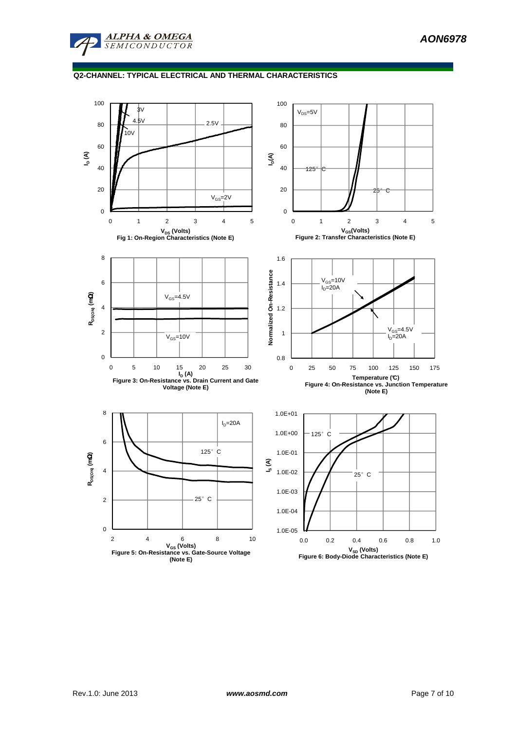

## **Q2-CHANNEL: TYPICAL ELECTRICAL AND THERMAL CHARACTERISTICS**

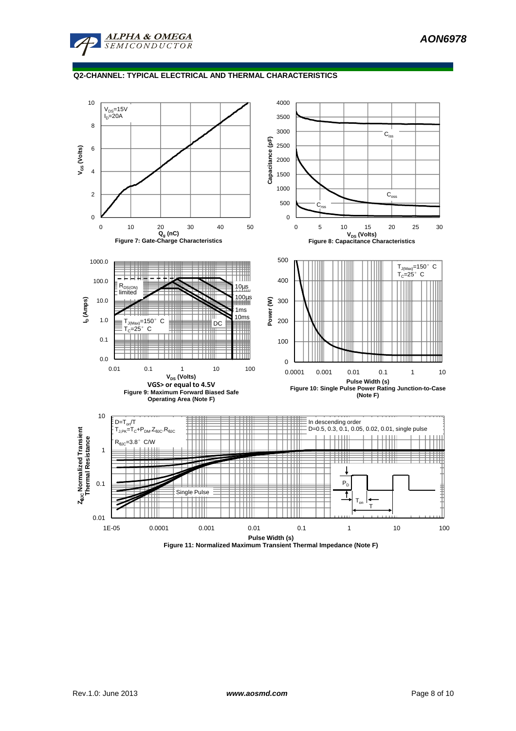

## **Q2-CHANNEL: TYPICAL ELECTRICAL AND THERMAL CHARACTERISTICS**



**Figure 11: Normalized Maximum Transient Thermal Impedance (Note F)**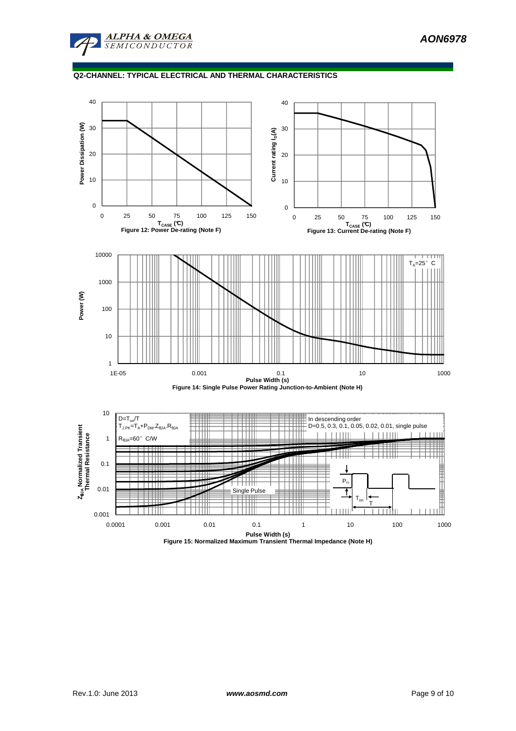

# **Q2-CHANNEL: TYPICAL ELECTRICAL AND THERMAL CHARACTERISTICS**